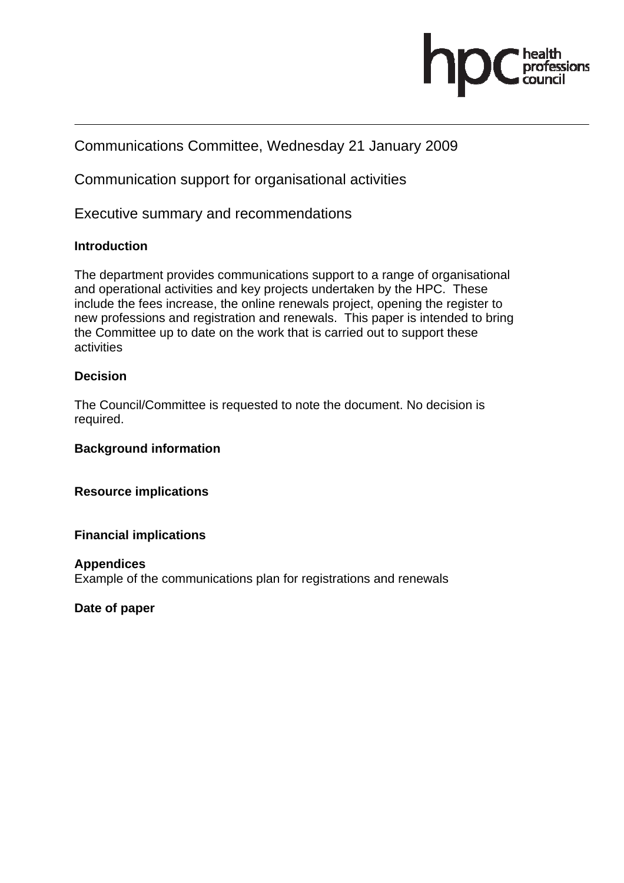

# Communications Committee, Wednesday 21 January 2009

Communication support for organisational activities

Executive summary and recommendations

# **Introduction**

The department provides communications support to a range of organisational and operational activities and key projects undertaken by the HPC. These include the fees increase, the online renewals project, opening the register to new professions and registration and renewals. This paper is intended to bring the Committee up to date on the work that is carried out to support these activities

# **Decision**

The Council/Committee is requested to note the document. No decision is required.

#### **Background information**

**Resource implications** 

#### **Financial implications**

#### **Appendices**

Example of the communications plan for registrations and renewals

#### **Date of paper**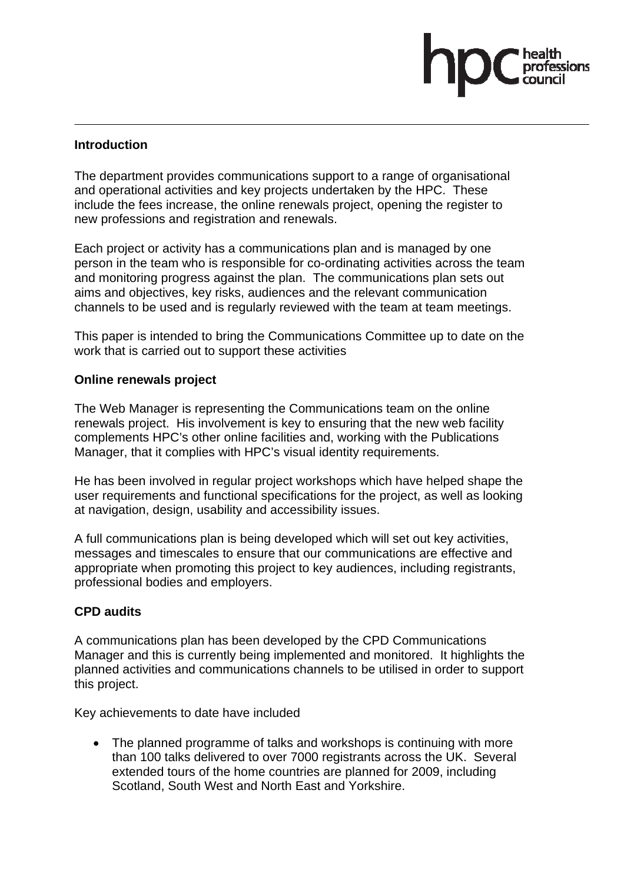#### **Introduction**

The department provides communications support to a range of organisational and operational activities and key projects undertaken by the HPC. These include the fees increase, the online renewals project, opening the register to new professions and registration and renewals.

Each project or activity has a communications plan and is managed by one person in the team who is responsible for co-ordinating activities across the team and monitoring progress against the plan. The communications plan sets out aims and objectives, key risks, audiences and the relevant communication channels to be used and is regularly reviewed with the team at team meetings.

This paper is intended to bring the Communications Committee up to date on the work that is carried out to support these activities

#### **Online renewals project**

The Web Manager is representing the Communications team on the online renewals project. His involvement is key to ensuring that the new web facility complements HPC's other online facilities and, working with the Publications Manager, that it complies with HPC's visual identity requirements.

He has been involved in regular project workshops which have helped shape the user requirements and functional specifications for the project, as well as looking at navigation, design, usability and accessibility issues.

A full communications plan is being developed which will set out key activities, messages and timescales to ensure that our communications are effective and appropriate when promoting this project to key audiences, including registrants, professional bodies and employers.

#### **CPD audits**

A communications plan has been developed by the CPD Communications Manager and this is currently being implemented and monitored. It highlights the planned activities and communications channels to be utilised in order to support this project.

Key achievements to date have included

• The planned programme of talks and workshops is continuing with more than 100 talks delivered to over 7000 registrants across the UK. Several extended tours of the home countries are planned for 2009, including Scotland, South West and North East and Yorkshire.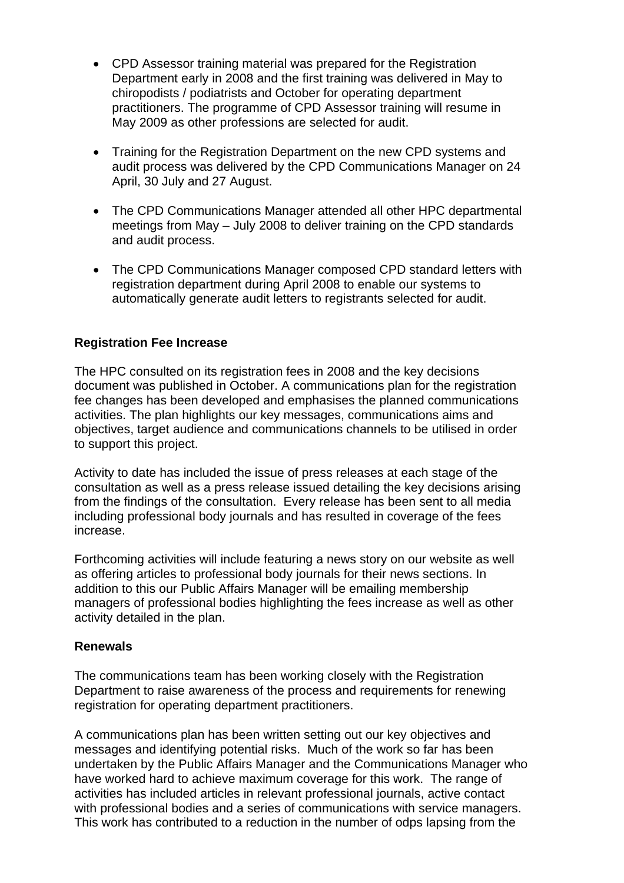- CPD Assessor training material was prepared for the Registration Department early in 2008 and the first training was delivered in May to chiropodists / podiatrists and October for operating department practitioners. The programme of CPD Assessor training will resume in May 2009 as other professions are selected for audit.
- Training for the Registration Department on the new CPD systems and audit process was delivered by the CPD Communications Manager on 24 April, 30 July and 27 August.
- The CPD Communications Manager attended all other HPC departmental meetings from May – July 2008 to deliver training on the CPD standards and audit process.
- The CPD Communications Manager composed CPD standard letters with registration department during April 2008 to enable our systems to automatically generate audit letters to registrants selected for audit.

### **Registration Fee Increase**

The HPC consulted on its registration fees in 2008 and the key decisions document was published in October. A communications plan for the registration fee changes has been developed and emphasises the planned communications activities. The plan highlights our key messages, communications aims and objectives, target audience and communications channels to be utilised in order to support this project.

Activity to date has included the issue of press releases at each stage of the consultation as well as a press release issued detailing the key decisions arising from the findings of the consultation. Every release has been sent to all media including professional body journals and has resulted in coverage of the fees increase.

Forthcoming activities will include featuring a news story on our website as well as offering articles to professional body journals for their news sections. In addition to this our Public Affairs Manager will be emailing membership managers of professional bodies highlighting the fees increase as well as other activity detailed in the plan.

#### **Renewals**

The communications team has been working closely with the Registration Department to raise awareness of the process and requirements for renewing registration for operating department practitioners.

A communications plan has been written setting out our key objectives and messages and identifying potential risks. Much of the work so far has been undertaken by the Public Affairs Manager and the Communications Manager who have worked hard to achieve maximum coverage for this work. The range of activities has included articles in relevant professional journals, active contact with professional bodies and a series of communications with service managers. This work has contributed to a reduction in the number of odps lapsing from the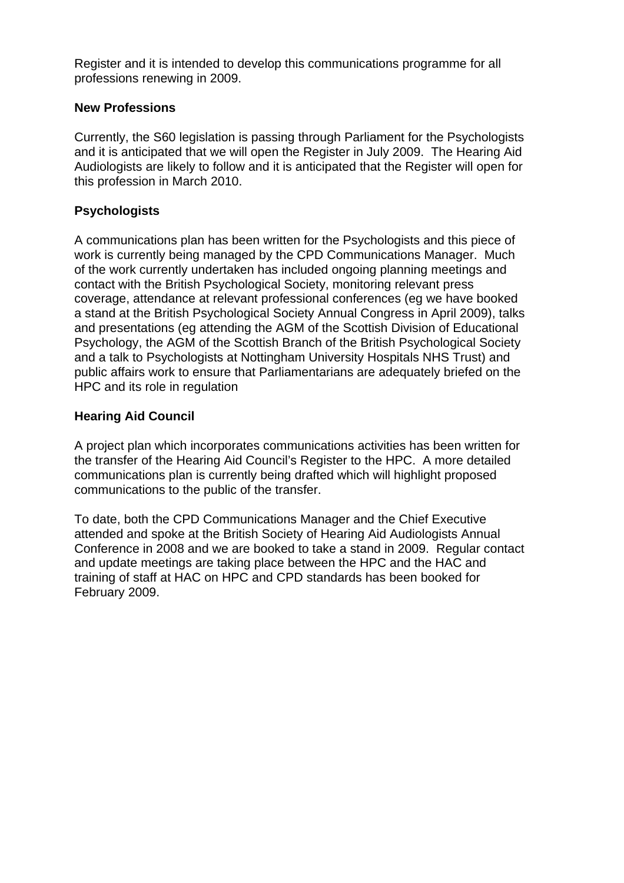Register and it is intended to develop this communications programme for all professions renewing in 2009.

### **New Professions**

Currently, the S60 legislation is passing through Parliament for the Psychologists and it is anticipated that we will open the Register in July 2009. The Hearing Aid Audiologists are likely to follow and it is anticipated that the Register will open for this profession in March 2010.

## **Psychologists**

A communications plan has been written for the Psychologists and this piece of work is currently being managed by the CPD Communications Manager. Much of the work currently undertaken has included ongoing planning meetings and contact with the British Psychological Society, monitoring relevant press coverage, attendance at relevant professional conferences (eg we have booked a stand at the British Psychological Society Annual Congress in April 2009), talks and presentations (eg attending the AGM of the Scottish Division of Educational Psychology, the AGM of the Scottish Branch of the British Psychological Society and a talk to Psychologists at Nottingham University Hospitals NHS Trust) and public affairs work to ensure that Parliamentarians are adequately briefed on the HPC and its role in regulation

### **Hearing Aid Council**

A project plan which incorporates communications activities has been written for the transfer of the Hearing Aid Council's Register to the HPC. A more detailed communications plan is currently being drafted which will highlight proposed communications to the public of the transfer.

To date, both the CPD Communications Manager and the Chief Executive attended and spoke at the British Society of Hearing Aid Audiologists Annual Conference in 2008 and we are booked to take a stand in 2009. Regular contact and update meetings are taking place between the HPC and the HAC and training of staff at HAC on HPC and CPD standards has been booked for February 2009.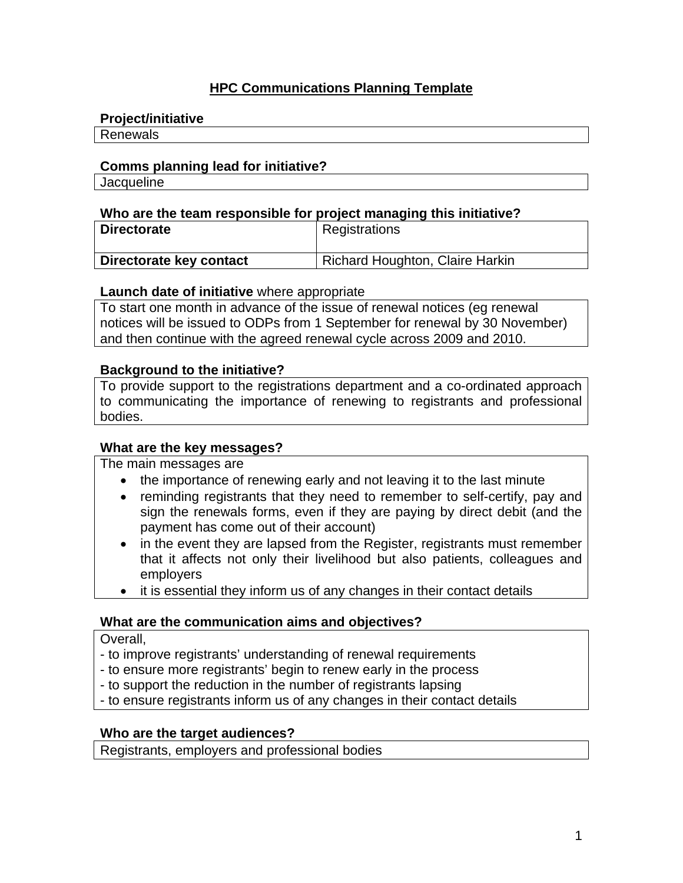# **HPC Communications Planning Template**

#### **Project/initiative**

Renewals

#### **Comms planning lead for initiative?**

**Jacqueline** 

#### **Who are the team responsible for project managing this initiative?**

| <b>Directorate</b>      | Registrations                   |
|-------------------------|---------------------------------|
| Directorate key contact | Richard Houghton, Claire Harkin |

### **Launch date of initiative** where appropriate

To start one month in advance of the issue of renewal notices (eg renewal notices will be issued to ODPs from 1 September for renewal by 30 November) and then continue with the agreed renewal cycle across 2009 and 2010.

### **Background to the initiative?**

To provide support to the registrations department and a co-ordinated approach to communicating the importance of renewing to registrants and professional bodies.

#### **What are the key messages?**

The main messages are

- the importance of renewing early and not leaving it to the last minute
- reminding registrants that they need to remember to self-certify, pay and sign the renewals forms, even if they are paying by direct debit (and the payment has come out of their account)
- in the event they are lapsed from the Register, registrants must remember that it affects not only their livelihood but also patients, colleagues and employers
- it is essential they inform us of any changes in their contact details

# **What are the communication aims and objectives?**

Overall,

- to improve registrants' understanding of renewal requirements
- to ensure more registrants' begin to renew early in the process
- to support the reduction in the number of registrants lapsing
- to ensure registrants inform us of any changes in their contact details

#### **Who are the target audiences?**

Registrants, employers and professional bodies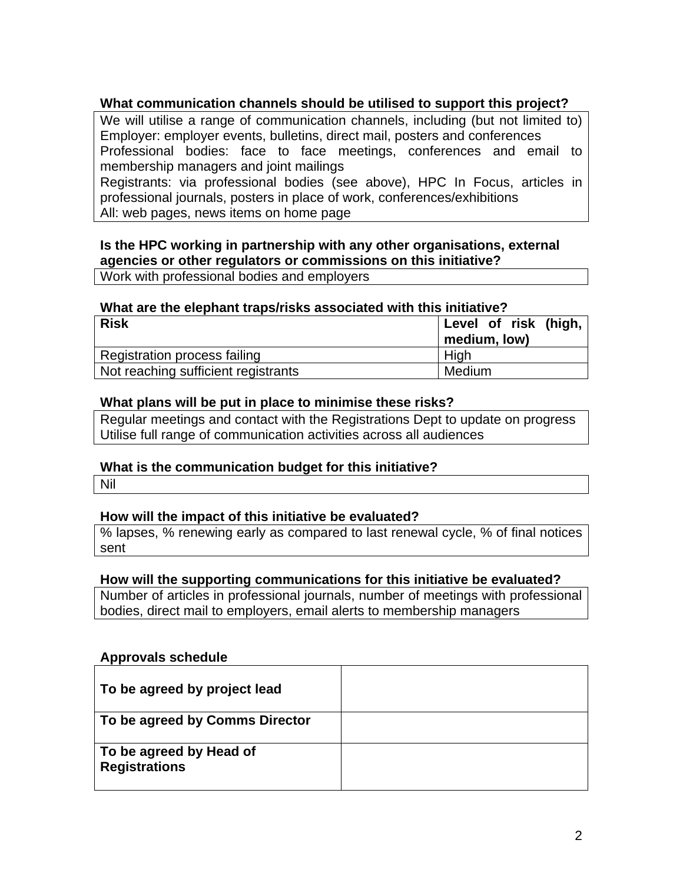# **What communication channels should be utilised to support this project?**

We will utilise a range of communication channels, including (but not limited to) Employer: employer events, bulletins, direct mail, posters and conferences Professional bodies: face to face meetings, conferences and email to membership managers and joint mailings Registrants: via professional bodies (see above), HPC In Focus, articles in

professional journals, posters in place of work, conferences/exhibitions All: web pages, news items on home page

# **Is the HPC working in partnership with any other organisations, external agencies or other regulators or commissions on this initiative?**

Work with professional bodies and employers

#### **What are the elephant traps/risks associated with this initiative?**

| <b>Risk</b>                         | Level of risk (high,<br>medium, low) |  |  |
|-------------------------------------|--------------------------------------|--|--|
| Registration process failing        | High                                 |  |  |
| Not reaching sufficient registrants | Medium                               |  |  |

#### **What plans will be put in place to minimise these risks?**

Regular meetings and contact with the Registrations Dept to update on progress Utilise full range of communication activities across all audiences

#### **What is the communication budget for this initiative?**

Nil

#### **How will the impact of this initiative be evaluated?**

% lapses, % renewing early as compared to last renewal cycle, % of final notices sent

#### **How will the supporting communications for this initiative be evaluated?**

Number of articles in professional journals, number of meetings with professional bodies, direct mail to employers, email alerts to membership managers

#### **Approvals schedule**

| To be agreed by project lead                    |  |
|-------------------------------------------------|--|
| To be agreed by Comms Director                  |  |
| To be agreed by Head of<br><b>Registrations</b> |  |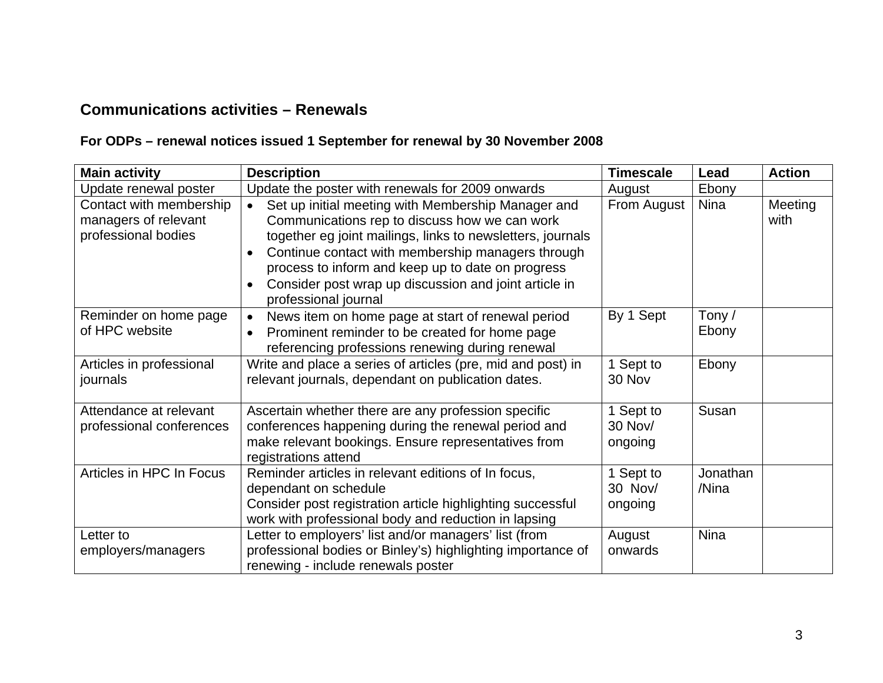# **Communications activities – Renewals**

# **For ODPs – renewal notices issued 1 September for renewal by 30 November 2008**

| <b>Main activity</b>                                                   | <b>Description</b>                                                                                                                                                                                                                                                                                                                                                                                  | <b>Timescale</b>              | Lead              | <b>Action</b>   |
|------------------------------------------------------------------------|-----------------------------------------------------------------------------------------------------------------------------------------------------------------------------------------------------------------------------------------------------------------------------------------------------------------------------------------------------------------------------------------------------|-------------------------------|-------------------|-----------------|
| Update renewal poster                                                  | Update the poster with renewals for 2009 onwards                                                                                                                                                                                                                                                                                                                                                    | August                        | Ebony             |                 |
| Contact with membership<br>managers of relevant<br>professional bodies | Set up initial meeting with Membership Manager and<br>$\bullet$<br>Communications rep to discuss how we can work<br>together eg joint mailings, links to newsletters, journals<br>Continue contact with membership managers through<br>$\bullet$<br>process to inform and keep up to date on progress<br>Consider post wrap up discussion and joint article in<br>$\bullet$<br>professional journal | From August                   | <b>Nina</b>       | Meeting<br>with |
| Reminder on home page<br>of HPC website                                | News item on home page at start of renewal period<br>$\bullet$<br>Prominent reminder to be created for home page<br>$\bullet$<br>referencing professions renewing during renewal                                                                                                                                                                                                                    | By 1 Sept                     | Tony/<br>Ebony    |                 |
| Articles in professional<br>journals                                   | Write and place a series of articles (pre, mid and post) in<br>relevant journals, dependant on publication dates.                                                                                                                                                                                                                                                                                   | Sept to<br>30 Nov             | Ebony             |                 |
| Attendance at relevant<br>professional conferences                     | Ascertain whether there are any profession specific<br>conferences happening during the renewal period and<br>make relevant bookings. Ensure representatives from<br>registrations attend                                                                                                                                                                                                           | Sept to<br>30 Nov/<br>ongoing | Susan             |                 |
| Articles in HPC In Focus                                               | Reminder articles in relevant editions of In focus,<br>dependant on schedule<br>Consider post registration article highlighting successful<br>work with professional body and reduction in lapsing                                                                                                                                                                                                  | Sept to<br>30 Nov/<br>ongoing | Jonathan<br>/Nina |                 |
| Letter to<br>employers/managers                                        | Letter to employers' list and/or managers' list (from<br>professional bodies or Binley's) highlighting importance of<br>renewing - include renewals poster                                                                                                                                                                                                                                          | August<br>onwards             | <b>Nina</b>       |                 |